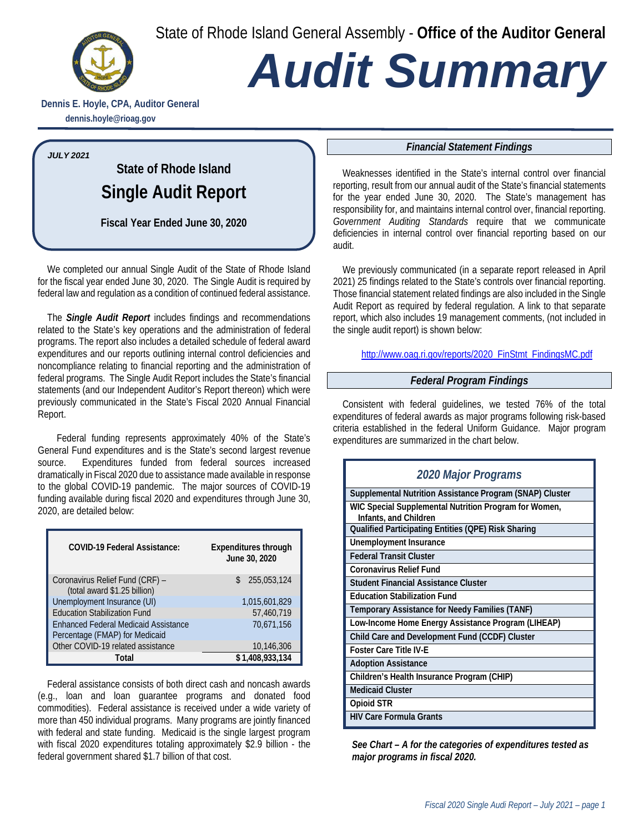State of Rhode Island General Assembly - **Office of the Auditor General**



# *Audit Summary*

**Dennis E. Hoyle, CPA, Auditor General dennis.hoyle@rioag.gov**

#### *JULY 2021*

**State of Rhode Island Single Audit Report**

**Fiscal Year Ended June 30, 2020**

We completed our annual Single Audit of the State of Rhode Island for the fiscal year ended June 30, 2020. The Single Audit is required by federal law and regulation as a condition of continued federal assistance.

The *Single Audit Report* includes findings and recommendations related to the State's key operations and the administration of federal programs. The report also includes a detailed schedule of federal award expenditures and our reports outlining internal control deficiencies and noncompliance relating to financial reporting and the administration of federal programs. The Single Audit Report includes the State's financial statements (and our Independent Auditor's Report thereon) which were previously communicated in the State's Fiscal 2020 Annual Financial Report.

Federal funding represents approximately 40% of the State's General Fund expenditures and is the State's second largest revenue source. Expenditures funded from federal sources increased dramatically in Fiscal 2020 due to assistance made available in response to the global COVID-19 pandemic. The major sources of COVID-19 funding available during fiscal 2020 and expenditures through June 30, 2020, are detailed below:

| <b>COVID-19 Federal Assistance:</b>                             | <b>Expenditures through</b><br>June 30, 2020 |  |  |
|-----------------------------------------------------------------|----------------------------------------------|--|--|
| Coronavirus Relief Fund (CRF) -<br>(total award \$1.25 billion) | 255,053,124                                  |  |  |
| Unemployment Insurance (UI)                                     | 1,015,601,829                                |  |  |
| <b>Education Stabilization Fund</b>                             | 57,460,719                                   |  |  |
| <b>Enhanced Federal Medicaid Assistance</b>                     | 70.671.156                                   |  |  |
| Percentage (FMAP) for Medicaid                                  |                                              |  |  |
| Other COVID-19 related assistance                               | 10,146,306                                   |  |  |
| Total                                                           | \$1,408,933,134                              |  |  |

Federal assistance consists of both direct cash and noncash awards (e.g., loan and loan guarantee programs and donated food commodities). Federal assistance is received under a wide variety of more than 450 individual programs. Many programs are jointly financed with federal and state funding. Medicaid is the single largest program with fiscal 2020 expenditures totaling approximately \$2.9 billion - the federal government shared \$1.7 billion of that cost.

#### *Financial Statement Findings*

Weaknesses identified in the State's internal control over financial reporting, result from our annual audit of the State's financial statements for the year ended June 30, 2020. The State's management has responsibility for, and maintains internal control over, financial reporting. *Government Auditing Standards* require that we communicate deficiencies in internal control over financial reporting based on our audit.

We previously communicated (in a separate report released in April 2021) 25 findings related to the State's controls over financial reporting. Those financial statement related findings are also included in the Single Audit Report as required by federal regulation. A link to that separate report, which also includes 19 management comments, (not included in the single audit report) is shown below:

http://www.oag.ri.gov/reports/2020\_FinStmt\_FindingsMC.pdf

#### *Federal Program Findings*

Consistent with federal guidelines, we tested 76% of the total expenditures of federal awards as major programs following risk-based criteria established in the federal Uniform Guidance. Major program expenditures are summarized in the chart below.

| 2020 Major Programs                                                            |  |  |
|--------------------------------------------------------------------------------|--|--|
| Supplemental Nutrition Assistance Program (SNAP) Cluster                       |  |  |
| WIC Special Supplemental Nutrition Program for Women,<br>Infants, and Children |  |  |
| Qualified Participating Entities (QPE) Risk Sharing                            |  |  |
| Unemployment Insurance                                                         |  |  |
| <b>Federal Transit Cluster</b>                                                 |  |  |
| <b>Coronavirus Relief Fund</b>                                                 |  |  |
| Student Financial Assistance Cluster                                           |  |  |
| <b>Education Stabilization Fund</b>                                            |  |  |
| Temporary Assistance for Needy Families (TANF)                                 |  |  |
| Low-Income Home Energy Assistance Program (LIHEAP)                             |  |  |
| Child Care and Development Fund (CCDF) Cluster                                 |  |  |
| <b>Foster Care Title IV-E</b>                                                  |  |  |
| <b>Adoption Assistance</b>                                                     |  |  |
| Children's Health Insurance Program (CHIP)                                     |  |  |
| <b>Medicaid Cluster</b>                                                        |  |  |
| Opioid STR                                                                     |  |  |
| <b>HIV Care Formula Grants</b>                                                 |  |  |

*See Chart – A for the categories of expenditures tested as major programs in fiscal 2020.*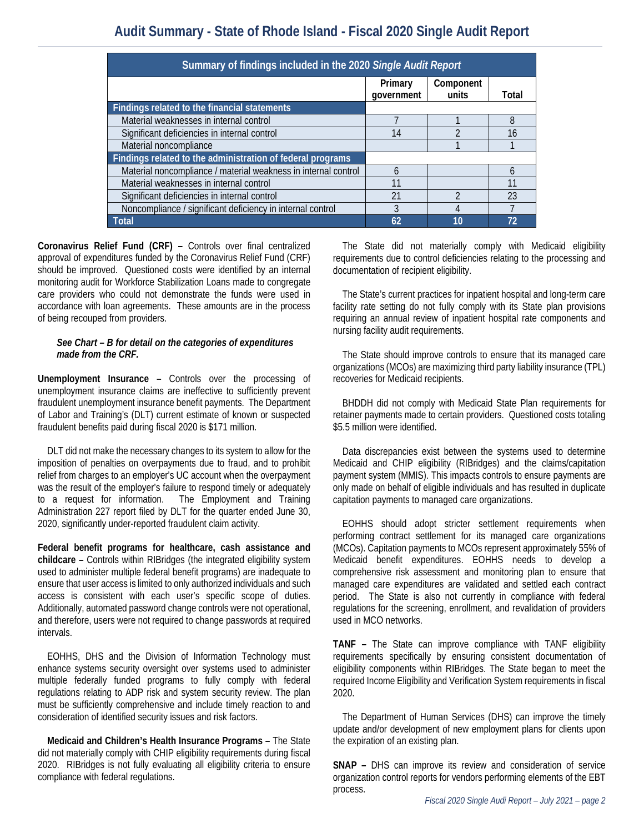| Summary of findings included in the 2020 Single Audit Report   |                       |                    |       |  |
|----------------------------------------------------------------|-----------------------|--------------------|-------|--|
|                                                                | Primary<br>qovernment | Component<br>units | Total |  |
| Findings related to the financial statements                   |                       |                    |       |  |
| Material weaknesses in internal control                        |                       |                    | 8     |  |
| Significant deficiencies in internal control                   | 14                    |                    | 16    |  |
| Material noncompliance                                         |                       |                    |       |  |
| Findings related to the administration of federal programs     |                       |                    |       |  |
| Material noncompliance / material weakness in internal control | 6                     |                    | 6     |  |
| Material weaknesses in internal control                        | 11                    |                    | 11    |  |
| Significant deficiencies in internal control                   | 21                    |                    | 23    |  |
| Noncompliance / significant deficiency in internal control     | 3                     |                    |       |  |
| Total                                                          | 62                    | 10                 | 72    |  |

**Coronavirus Relief Fund (CRF) –** Controls over final centralized approval of expenditures funded by the Coronavirus Relief Fund (CRF) should be improved. Questioned costs were identified by an internal monitoring audit for Workforce Stabilization Loans made to congregate care providers who could not demonstrate the funds were used in accordance with loan agreements. These amounts are in the process of being recouped from providers.

#### *See Chart – B for detail on the categories of expenditures made from the CRF.*

**Unemployment Insurance –** Controls over the processing of unemployment insurance claims are ineffective to sufficiently prevent fraudulent unemployment insurance benefit payments. The Department of Labor and Training's (DLT) current estimate of known or suspected fraudulent benefits paid during fiscal 2020 is \$171 million.

DLT did not make the necessary changes to its system to allow for the imposition of penalties on overpayments due to fraud, and to prohibit relief from charges to an employer's UC account when the overpayment was the result of the employer's failure to respond timely or adequately to a request for information. The Employment and Training Administration 227 report filed by DLT for the quarter ended June 30, 2020, significantly under-reported fraudulent claim activity.

**Federal benefit programs for healthcare, cash assistance and childcare –** Controls within RIBridges (the integrated eligibility system used to administer multiple federal benefit programs) are inadequate to ensure that user access is limited to only authorized individuals and such access is consistent with each user's specific scope of duties. Additionally, automated password change controls were not operational, and therefore, users were not required to change passwords at required intervals.

EOHHS, DHS and the Division of Information Technology must enhance systems security oversight over systems used to administer multiple federally funded programs to fully comply with federal regulations relating to ADP risk and system security review. The plan must be sufficiently comprehensive and include timely reaction to and consideration of identified security issues and risk factors.

**Medicaid and Children's Health Insurance Programs –** The State did not materially comply with CHIP eligibility requirements during fiscal 2020. RIBridges is not fully evaluating all eligibility criteria to ensure compliance with federal regulations.

The State did not materially comply with Medicaid eligibility requirements due to control deficiencies relating to the processing and documentation of recipient eligibility.

The State's current practices for inpatient hospital and long-term care facility rate setting do not fully comply with its State plan provisions requiring an annual review of inpatient hospital rate components and nursing facility audit requirements.

The State should improve controls to ensure that its managed care organizations (MCOs) are maximizing third party liability insurance (TPL) recoveries for Medicaid recipients.

BHDDH did not comply with Medicaid State Plan requirements for retainer payments made to certain providers. Questioned costs totaling \$5.5 million were identified.

Data discrepancies exist between the systems used to determine Medicaid and CHIP eligibility (RIBridges) and the claims/capitation payment system (MMIS). This impacts controls to ensure payments are only made on behalf of eligible individuals and has resulted in duplicate capitation payments to managed care organizations.

EOHHS should adopt stricter settlement requirements when performing contract settlement for its managed care organizations (MCOs). Capitation payments to MCOs represent approximately 55% of Medicaid benefit expenditures. EOHHS needs to develop a comprehensive risk assessment and monitoring plan to ensure that managed care expenditures are validated and settled each contract period. The State is also not currently in compliance with federal regulations for the screening, enrollment, and revalidation of providers used in MCO networks.

**TANF –** The State can improve compliance with TANF eligibility requirements specifically by ensuring consistent documentation of eligibility components within RIBridges. The State began to meet the required Income Eligibility and Verification System requirements in fiscal 2020.

The Department of Human Services (DHS) can improve the timely update and/or development of new employment plans for clients upon the expiration of an existing plan.

**SNAP –** DHS can improve its review and consideration of service organization control reports for vendors performing elements of the EBT process.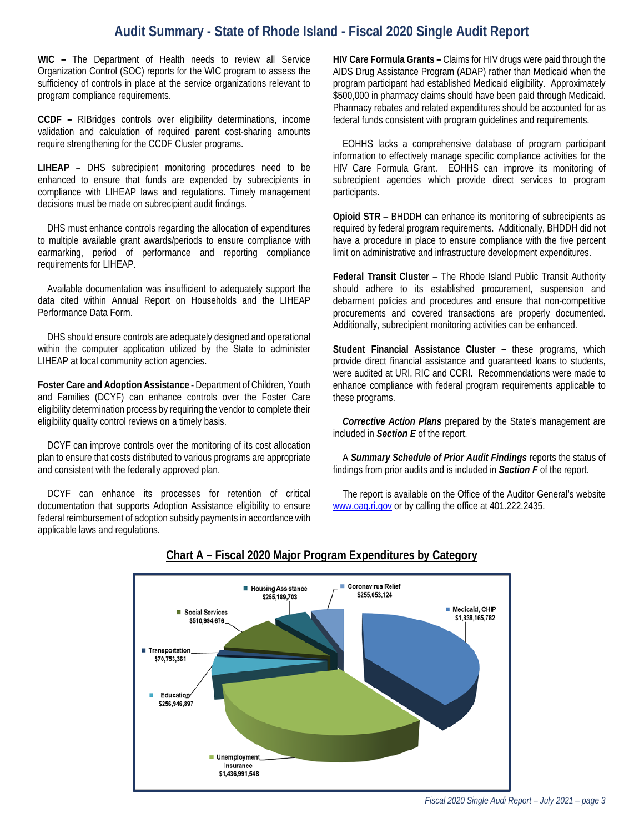# **Audit Summary - State of Rhode Island - Fiscal 2020 Single Audit Report**

**WIC –** The Department of Health needs to review all Service Organization Control (SOC) reports for the WIC program to assess the sufficiency of controls in place at the service organizations relevant to program compliance requirements.

**CCDF –** RIBridges controls over eligibility determinations, income validation and calculation of required parent cost-sharing amounts require strengthening for the CCDF Cluster programs.

**LIHEAP –** DHS subrecipient monitoring procedures need to be enhanced to ensure that funds are expended by subrecipients in compliance with LIHEAP laws and regulations. Timely management decisions must be made on subrecipient audit findings.

DHS must enhance controls regarding the allocation of expenditures to multiple available grant awards/periods to ensure compliance with earmarking, period of performance and reporting compliance requirements for LIHEAP.

Available documentation was insufficient to adequately support the data cited within Annual Report on Households and the LIHEAP Performance Data Form.

DHS should ensure controls are adequately designed and operational within the computer application utilized by the State to administer LIHEAP at local community action agencies.

**Foster Care and Adoption Assistance -** Department of Children, Youth and Families (DCYF) can enhance controls over the Foster Care eligibility determination process by requiring the vendor to complete their eligibility quality control reviews on a timely basis.

DCYF can improve controls over the monitoring of its cost allocation plan to ensure that costs distributed to various programs are appropriate and consistent with the federally approved plan.

DCYF can enhance its processes for retention of critical documentation that supports Adoption Assistance eligibility to ensure federal reimbursement of adoption subsidy payments in accordance with applicable laws and regulations.

**HIV Care Formula Grants –** Claims for HIV drugs were paid through the AIDS Drug Assistance Program (ADAP) rather than Medicaid when the program participant had established Medicaid eligibility. Approximately \$500,000 in pharmacy claims should have been paid through Medicaid. Pharmacy rebates and related expenditures should be accounted for as federal funds consistent with program guidelines and requirements.

EOHHS lacks a comprehensive database of program participant information to effectively manage specific compliance activities for the HIV Care Formula Grant. EOHHS can improve its monitoring of subrecipient agencies which provide direct services to program participants.

**Opioid STR** – BHDDH can enhance its monitoring of subrecipients as required by federal program requirements. Additionally, BHDDH did not have a procedure in place to ensure compliance with the five percent limit on administrative and infrastructure development expenditures.

**Federal Transit Cluster** – The Rhode Island Public Transit Authority should adhere to its established procurement, suspension and debarment policies and procedures and ensure that non-competitive procurements and covered transactions are properly documented. Additionally, subrecipient monitoring activities can be enhanced.

**Student Financial Assistance Cluster –** these programs, which provide direct financial assistance and guaranteed loans to students, were audited at URI, RIC and CCRI. Recommendations were made to enhance compliance with federal program requirements applicable to these programs.

*Corrective Action Plans* prepared by the State's management are included in *Section E* of the report.

A *Summary Schedule of Prior Audit Findings* reports the status of findings from prior audits and is included in *Section F* of the report.

The report is available on the Office of the Auditor General's website [www.oag.ri.gov](http://www.oag.ri.gov/) or by calling the office at 401.222.2435.



### **Chart A – Fiscal 2020 Major Program Expenditures by Category**

*Fiscal 2020 Single Audi Report – July 2021 – page 3*